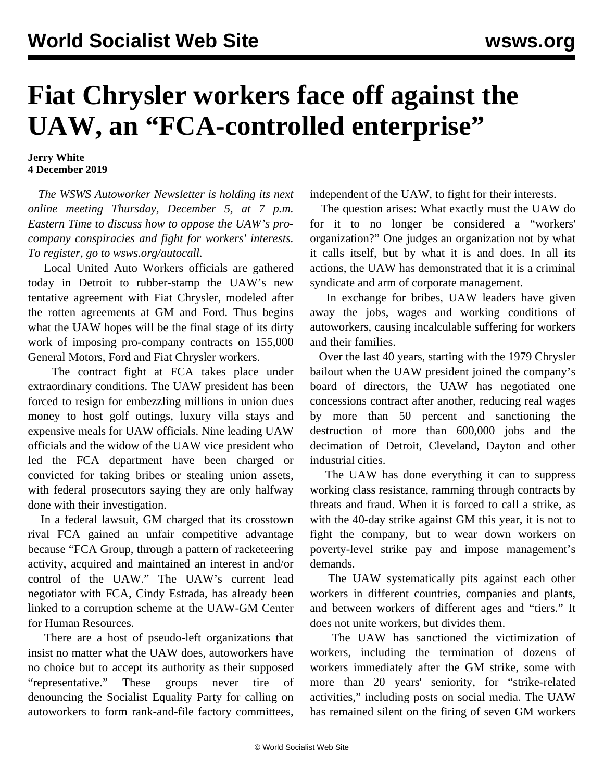## **Fiat Chrysler workers face off against the UAW, an "FCA-controlled enterprise"**

## **Jerry White 4 December 2019**

 *The WSWS Autoworker Newsletter is holding its next online meeting Thursday, December 5, at 7 p.m. Eastern Time to discuss how to oppose the UAW's procompany conspiracies and fight for workers' interests. To register, go to [wsws.org/autocall.](/autocall)*

 Local United Auto Workers officials are gathered today in Detroit to rubber-stamp the UAW's new tentative agreement with Fiat Chrysler, modeled after the rotten agreements at GM and Ford. Thus begins what the UAW hopes will be the final stage of its dirty work of imposing pro-company contracts on 155,000 General Motors, Ford and Fiat Chrysler workers.

 The contract fight at FCA takes place under extraordinary conditions. The UAW president has been forced to resign for embezzling millions in union dues money to host golf outings, luxury villa stays and expensive meals for UAW officials. Nine leading UAW officials and the widow of the UAW vice president who led the FCA department have been charged or convicted for taking bribes or stealing union assets, with federal prosecutors saying they are only halfway done with their investigation.

 In a federal lawsuit, GM charged that its crosstown rival FCA gained an unfair competitive advantage because "FCA Group, through a pattern of racketeering activity, acquired and maintained an interest in and/or control of the UAW." The UAW's current lead negotiator with FCA, Cindy Estrada, has already been linked to a corruption scheme at the UAW-GM Center for Human Resources.

 There are a host of pseudo-left organizations that insist no matter what the UAW does, autoworkers have no choice but to accept its authority as their supposed "representative." These groups never tire of denouncing the Socialist Equality Party for calling on autoworkers to form rank-and-file factory committees, independent of the UAW, to fight for their interests.

 The question arises: What exactly must the UAW do for it to no longer be considered a "workers' organization?" One judges an organization not by what it calls itself, but by what it is and does. In all its actions, the UAW has demonstrated that it is a criminal syndicate and arm of corporate management.

 In exchange for bribes, UAW leaders have given away the jobs, wages and working conditions of autoworkers, causing incalculable suffering for workers and their families.

 Over the last 40 years, starting with the 1979 Chrysler bailout when the UAW president joined the company's board of directors, the UAW has negotiated one concessions contract after another, reducing real wages by more than 50 percent and sanctioning the destruction of more than 600,000 jobs and the decimation of Detroit, Cleveland, Dayton and other industrial cities.

 The UAW has done everything it can to suppress working class resistance, ramming through contracts by threats and fraud. When it is forced to call a strike, as with the 40-day strike against GM this year, it is not to fight the company, but to wear down workers on poverty-level strike pay and impose management's demands.

 The UAW systematically pits against each other workers in different countries, companies and plants, and between workers of different ages and "tiers." It does not unite workers, but divides them.

 The UAW has sanctioned the victimization of workers, including the termination of dozens of workers immediately after the GM strike, some with more than 20 years' seniority, for "strike-related activities," including posts on social media. The UAW has remained silent on the firing of seven GM workers